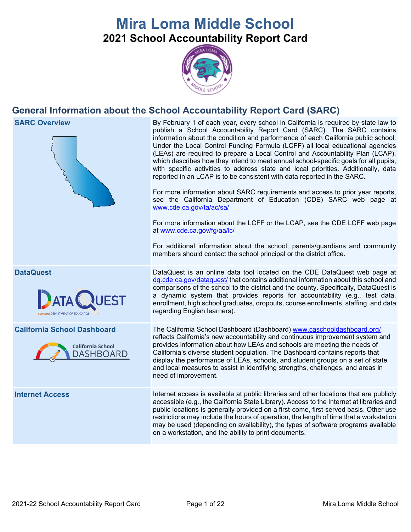# **Mira Loma Middle School 2021 School Accountability Report Card**



# **General Information about the School Accountability Report Card (SARC)**

**SARC Overview** By February 1 of each year, every school in California is required by state law to publish a School Accountability Report Card (SARC). The SARC contains information about the condition and performance of each California public school. Under the Local Control Funding Formula (LCFF) all local educational agencies (LEAs) are required to prepare a Local Control and Accountability Plan (LCAP), which describes how they intend to meet annual school-specific goals for all pupils, with specific activities to address state and local priorities. Additionally, data reported in an LCAP is to be consistent with data reported in the SARC. For more information about SARC requirements and access to prior year reports, see the California Department of Education (CDE) SARC web page at [www.cde.ca.gov/ta/ac/sa/](https://www.cde.ca.gov/ta/ac/sa/) For more information about the LCFF or the LCAP, see the CDE LCFF web page at [www.cde.ca.gov/fg/aa/lc/](https://www.cde.ca.gov/fg/aa/lc/) For additional information about the school, parents/guardians and community members should contact the school principal or the district office. **DataQuest** DataQuest is an online data tool located on the CDE DataQuest web page at [dq.cde.ca.gov/dataquest/](https://dq.cde.ca.gov/dataquest/) that contains additional information about this school and comparisons of the school to the district and the county. Specifically, DataQuest is a dynamic system that provides reports for accountability (e.g., test data, enrollment, high school graduates, dropouts, course enrollments, staffing, and data regarding English learners). **California School Dashboard** The California School Dashboard (Dashboard) [www.caschooldashboard.org/](http://www.caschooldashboard.org/) reflects California's new accountability and continuous improvement system and provides information about how LEAs and schools are meeting the needs of **California School** California's diverse student population. The Dashboard contains reports that DASHBOARD display the performance of LEAs, schools, and student groups on a set of state and local measures to assist in identifying strengths, challenges, and areas in need of improvement. **Internet Access** Internet access is available at public libraries and other locations that are publicly accessible (e.g., the California State Library). Access to the Internet at libraries and public locations is generally provided on a first-come, first-served basis. Other use restrictions may include the hours of operation, the length of time that a workstation may be used (depending on availability), the types of software programs available on a workstation, and the ability to print documents.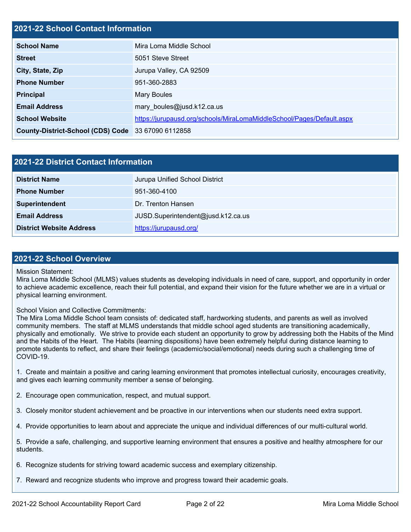#### **2021-22 School Contact Information**

| <b>School Name</b>                                 | Mira Loma Middle School                                               |
|----------------------------------------------------|-----------------------------------------------------------------------|
| <b>Street</b>                                      | 5051 Steve Street                                                     |
| City, State, Zip                                   | Jurupa Valley, CA 92509                                               |
| <b>Phone Number</b>                                | 951-360-2883                                                          |
| <b>Principal</b>                                   | <b>Mary Boules</b>                                                    |
| <b>Email Address</b>                               | mary boules@jusd.k12.ca.us                                            |
| <b>School Website</b>                              | https://jurupausd.org/schools/MiraLomaMiddleSchool/Pages/Default.aspx |
| County-District-School (CDS) Code 33 67090 6112858 |                                                                       |

| 2021-22 District Contact Information |                                    |  |  |  |  |
|--------------------------------------|------------------------------------|--|--|--|--|
| <b>District Name</b>                 | Jurupa Unified School District     |  |  |  |  |
| <b>Phone Number</b>                  | 951-360-4100                       |  |  |  |  |
| Superintendent                       | Dr. Trenton Hansen                 |  |  |  |  |
| <b>Email Address</b>                 | JUSD.Superintendent@jusd.k12.ca.us |  |  |  |  |
| <b>District Website Address</b>      | https://jurupausd.org/             |  |  |  |  |

#### **2021-22 School Overview**

Mission Statement:

Mira Loma Middle School (MLMS) values students as developing individuals in need of care, support, and opportunity in order to achieve academic excellence, reach their full potential, and expand their vision for the future whether we are in a virtual or physical learning environment.

#### School Vision and Collective Commitments:

The Mira Loma Middle School team consists of: dedicated staff, hardworking students, and parents as well as involved community members. The staff at MLMS understands that middle school aged students are transitioning academically, physically and emotionally. We strive to provide each student an opportunity to grow by addressing both the Habits of the Mind and the Habits of the Heart. The Habits (learning dispositions) have been extremely helpful during distance learning to promote students to reflect, and share their feelings (academic/social/emotional) needs during such a challenging time of COVID-19.

1. Create and maintain a positive and caring learning environment that promotes intellectual curiosity, encourages creativity, and gives each learning community member a sense of belonging.

2. Encourage open communication, respect, and mutual support.

3. Closely monitor student achievement and be proactive in our interventions when our students need extra support.

4. Provide opportunities to learn about and appreciate the unique and individual differences of our multi-cultural world.

5. Provide a safe, challenging, and supportive learning environment that ensures a positive and healthy atmosphere for our students.

6. Recognize students for striving toward academic success and exemplary citizenship.

7. Reward and recognize students who improve and progress toward their academic goals.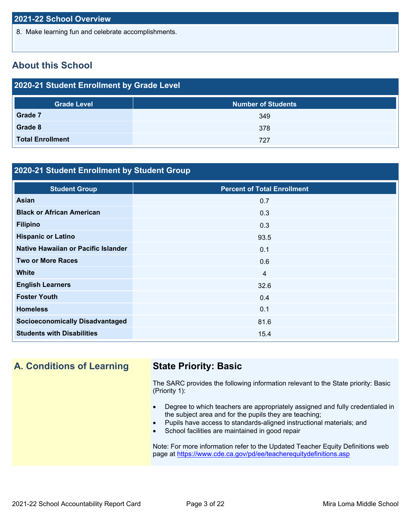8. Make learning fun and celebrate accomplishments.

## **About this School**

| 2020-21 Student Enrollment by Grade Level |                           |  |  |  |  |  |
|-------------------------------------------|---------------------------|--|--|--|--|--|
| <b>Grade Level</b>                        | <b>Number of Students</b> |  |  |  |  |  |
| Grade 7                                   | 349                       |  |  |  |  |  |
| Grade 8                                   | 378                       |  |  |  |  |  |
| <b>Total Enrollment</b>                   | 727                       |  |  |  |  |  |

#### **2020-21 Student Enrollment by Student Group**

| <b>Student Group</b>                   | <b>Percent of Total Enrollment</b> |
|----------------------------------------|------------------------------------|
| Asian                                  | 0.7                                |
| <b>Black or African American</b>       | 0.3                                |
| <b>Filipino</b>                        | 0.3                                |
| <b>Hispanic or Latino</b>              | 93.5                               |
| Native Hawaiian or Pacific Islander    | 0.1                                |
| <b>Two or More Races</b>               | 0.6                                |
| <b>White</b>                           | $\overline{4}$                     |
| <b>English Learners</b>                | 32.6                               |
| <b>Foster Youth</b>                    | 0.4                                |
| <b>Homeless</b>                        | 0.1                                |
| <b>Socioeconomically Disadvantaged</b> | 81.6                               |
| <b>Students with Disabilities</b>      | 15.4                               |

**A. Conditions of Learning State Priority: Basic**

The SARC provides the following information relevant to the State priority: Basic (Priority 1):

- Degree to which teachers are appropriately assigned and fully credentialed in the subject area and for the pupils they are teaching;
- Pupils have access to standards-aligned instructional materials; and
- School facilities are maintained in good repair

Note: For more information refer to the Updated Teacher Equity Definitions web page at<https://www.cde.ca.gov/pd/ee/teacherequitydefinitions.asp>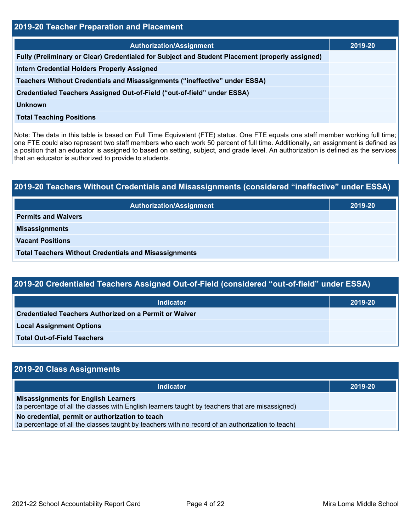| 2019-20 Teacher Preparation and Placement                                                       |         |  |  |  |  |
|-------------------------------------------------------------------------------------------------|---------|--|--|--|--|
| <b>Authorization/Assignment</b>                                                                 | 2019-20 |  |  |  |  |
| Fully (Preliminary or Clear) Credentialed for Subject and Student Placement (properly assigned) |         |  |  |  |  |
| <b>Intern Credential Holders Properly Assigned</b>                                              |         |  |  |  |  |
| Teachers Without Credentials and Misassignments ("ineffective" under ESSA)                      |         |  |  |  |  |
| Credentialed Teachers Assigned Out-of-Field ("out-of-field" under ESSA)                         |         |  |  |  |  |
| Unknown                                                                                         |         |  |  |  |  |
| <b>Total Teaching Positions</b>                                                                 |         |  |  |  |  |

Note: The data in this table is based on Full Time Equivalent (FTE) status. One FTE equals one staff member working full time; one FTE could also represent two staff members who each work 50 percent of full time. Additionally, an assignment is defined as a position that an educator is assigned to based on setting, subject, and grade level. An authorization is defined as the services that an educator is authorized to provide to students.

# **2019-20 Teachers Without Credentials and Misassignments (considered "ineffective" under ESSA) Authorization/Assignment 2019-20 Permits and Waivers Misassignments Vacant Positions Total Teachers Without Credentials and Misassignments**

| 2019-20 Credentialed Teachers Assigned Out-of-Field (considered "out-of-field" under ESSA) |         |  |  |  |  |
|--------------------------------------------------------------------------------------------|---------|--|--|--|--|
| Indicator                                                                                  | 2019-20 |  |  |  |  |
| <b>Credentialed Teachers Authorized on a Permit or Waiver</b>                              |         |  |  |  |  |
| <b>Local Assignment Options</b>                                                            |         |  |  |  |  |
| <b>Total Out-of-Field Teachers</b>                                                         |         |  |  |  |  |

| 2019-20 Class Assignments                                                                                                                           |         |  |  |  |  |
|-----------------------------------------------------------------------------------------------------------------------------------------------------|---------|--|--|--|--|
| <b>Indicator</b>                                                                                                                                    | 2019-20 |  |  |  |  |
| <b>Misassignments for English Learners</b><br>(a percentage of all the classes with English learners taught by teachers that are misassigned)       |         |  |  |  |  |
| No credential, permit or authorization to teach<br>(a percentage of all the classes taught by teachers with no record of an authorization to teach) |         |  |  |  |  |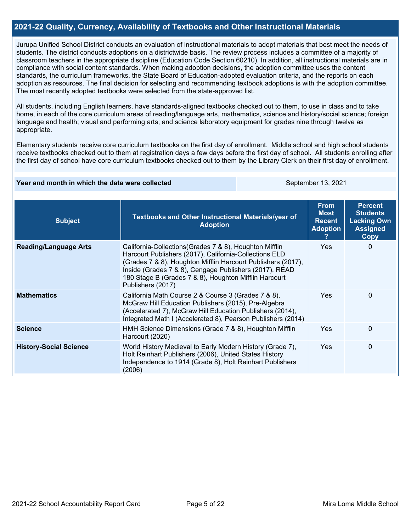#### **2021-22 Quality, Currency, Availability of Textbooks and Other Instructional Materials**

Jurupa Unified School District conducts an evaluation of instructional materials to adopt materials that best meet the needs of students. The district conducts adoptions on a districtwide basis. The review process includes a committee of a majority of classroom teachers in the appropriate discipline (Education Code Section 60210). In addition, all instructional materials are in compliance with social content standards. When making adoption decisions, the adoption committee uses the content standards, the curriculum frameworks, the State Board of Education-adopted evaluation criteria, and the reports on each adoption as resources. The final decision for selecting and recommending textbook adoptions is with the adoption committee. The most recently adopted textbooks were selected from the state-approved list.

All students, including English learners, have standards-aligned textbooks checked out to them, to use in class and to take home, in each of the core curriculum areas of reading/language arts, mathematics, science and history/social science; foreign language and health; visual and performing arts; and science laboratory equipment for grades nine through twelve as appropriate.

Elementary students receive core curriculum textbooks on the first day of enrollment. Middle school and high school students receive textbooks checked out to them at registration days a few days before the first day of school. All students enrolling after the first day of school have core curriculum textbooks checked out to them by the Library Clerk on their first day of enrollment.

#### **Year and month in which the data were collected September 13, 2021** September 13, 2021

| <b>Subject</b>                | Textbooks and Other Instructional Materials/year of<br><b>Adoption</b>                                                                                                                                                                                                                                                    | <b>Percent</b><br><b>Students</b><br><b>Lacking Own</b><br><b>Assigned</b><br>Copy |          |
|-------------------------------|---------------------------------------------------------------------------------------------------------------------------------------------------------------------------------------------------------------------------------------------------------------------------------------------------------------------------|------------------------------------------------------------------------------------|----------|
| <b>Reading/Language Arts</b>  | California-Collections (Grades 7 & 8), Houghton Mifflin<br>Harcourt Publishers (2017), California-Collections ELD<br>(Grades 7 & 8), Houghton Mifflin Harcourt Publishers (2017),<br>Inside (Grades 7 & 8), Cengage Publishers (2017), READ<br>180 Stage B (Grades 7 & 8), Houghton Mifflin Harcourt<br>Publishers (2017) | Yes.                                                                               | $\Omega$ |
| <b>Mathematics</b>            | California Math Course 2 & Course 3 (Grades 7 & 8),<br>McGraw Hill Education Publishers (2015), Pre-Algebra<br>(Accelerated 7), McGraw Hill Education Publishers (2014),<br>Integrated Math I (Accelerated 8), Pearson Publishers (2014)                                                                                  | <b>Yes</b>                                                                         | $\Omega$ |
| <b>Science</b>                | HMH Science Dimensions (Grade 7 & 8), Houghton Mifflin<br>Harcourt (2020)                                                                                                                                                                                                                                                 | <b>Yes</b>                                                                         | $\Omega$ |
| <b>History-Social Science</b> | World History Medieval to Early Modern History (Grade 7),<br>Holt Reinhart Publishers (2006), United States History<br>Independence to 1914 (Grade 8), Holt Reinhart Publishers<br>(2006)                                                                                                                                 | Yes.                                                                               | $\Omega$ |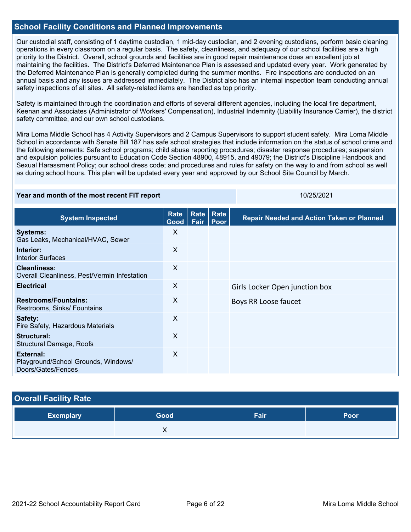#### **School Facility Conditions and Planned Improvements**

Our custodial staff, consisting of 1 daytime custodian, 1 mid-day custodian, and 2 evening custodians, perform basic cleaning operations in every classroom on a regular basis. The safety, cleanliness, and adequacy of our school facilities are a high priority to the District. Overall, school grounds and facilities are in good repair maintenance does an excellent job at maintaining the facilities. The District's Deferred Maintenance Plan is assessed and updated every year. Work generated by the Deferred Maintenance Plan is generally completed during the summer months. Fire inspections are conducted on an annual basis and any issues are addressed immediately. The District also has an internal inspection team conducting annual safety inspections of all sites. All safety-related items are handled as top priority.

Safety is maintained through the coordination and efforts of several different agencies, including the local fire department, Keenan and Associates (Administrator of Workers' Compensation), Industrial Indemnity (Liability Insurance Carrier), the district safety committee, and our own school custodians.

Mira Loma Middle School has 4 Activity Supervisors and 2 Campus Supervisors to support student safety. Mira Loma Middle School in accordance with Senate Bill 187 has safe school strategies that include information on the status of school crime and the following elements: Safe school programs; child abuse reporting procedures; disaster response procedures; suspension and expulsion policies pursuant to Education Code Section 48900, 48915, and 49079; the District's Discipline Handbook and Sexual Harassment Policy; our school dress code; and procedures and rules for safety on the way to and from school as well as during school hours. This plan will be updated every year and approved by our School Site Council by March.

#### **Year and month of the most recent FIT report** 10/25/2021 10/25/2021

| <b>System Inspected</b>                                                | Rate<br>Good | Rate<br>Fair | <b>Rate</b><br>Poor | <b>Repair Needed and Action Taken or Planned</b> |
|------------------------------------------------------------------------|--------------|--------------|---------------------|--------------------------------------------------|
| <b>Systems:</b><br>Gas Leaks, Mechanical/HVAC, Sewer                   | X            |              |                     |                                                  |
| Interior:<br><b>Interior Surfaces</b>                                  | $\times$     |              |                     |                                                  |
| <b>Cleanliness:</b><br>Overall Cleanliness, Pest/Vermin Infestation    | X            |              |                     |                                                  |
| <b>Electrical</b>                                                      | X            |              |                     | Girls Locker Open junction box                   |
| <b>Restrooms/Fountains:</b><br>Restrooms, Sinks/ Fountains             | X            |              |                     | Boys RR Loose faucet                             |
| Safety:<br>Fire Safety, Hazardous Materials                            | X            |              |                     |                                                  |
| Structural:<br><b>Structural Damage, Roofs</b>                         | X            |              |                     |                                                  |
| External:<br>Playground/School Grounds, Windows/<br>Doors/Gates/Fences | X            |              |                     |                                                  |

#### **Overall Facility Rate**

| <b>Exemplary</b> | Good <sup>1</sup> | Fair | Poor |
|------------------|-------------------|------|------|
|                  |                   |      |      |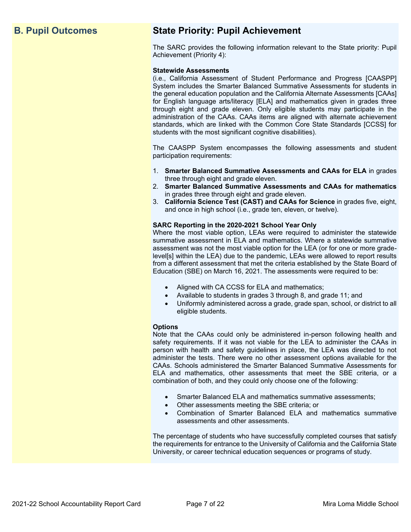# **B. Pupil Outcomes State Priority: Pupil Achievement**

The SARC provides the following information relevant to the State priority: Pupil Achievement (Priority 4):

#### **Statewide Assessments**

(i.e., California Assessment of Student Performance and Progress [CAASPP] System includes the Smarter Balanced Summative Assessments for students in the general education population and the California Alternate Assessments [CAAs] for English language arts/literacy [ELA] and mathematics given in grades three through eight and grade eleven. Only eligible students may participate in the administration of the CAAs. CAAs items are aligned with alternate achievement standards, which are linked with the Common Core State Standards [CCSS] for students with the most significant cognitive disabilities).

The CAASPP System encompasses the following assessments and student participation requirements:

- 1. **Smarter Balanced Summative Assessments and CAAs for ELA** in grades three through eight and grade eleven.
- 2. **Smarter Balanced Summative Assessments and CAAs for mathematics** in grades three through eight and grade eleven.
- 3. **California Science Test (CAST) and CAAs for Science** in grades five, eight, and once in high school (i.e., grade ten, eleven, or twelve).

#### **SARC Reporting in the 2020-2021 School Year Only**

Where the most viable option, LEAs were required to administer the statewide summative assessment in ELA and mathematics. Where a statewide summative assessment was not the most viable option for the LEA (or for one or more gradelevel[s] within the LEA) due to the pandemic, LEAs were allowed to report results from a different assessment that met the criteria established by the State Board of Education (SBE) on March 16, 2021. The assessments were required to be:

- Aligned with CA CCSS for ELA and mathematics;
- Available to students in grades 3 through 8, and grade 11; and
- Uniformly administered across a grade, grade span, school, or district to all eligible students.

#### **Options**

Note that the CAAs could only be administered in-person following health and safety requirements. If it was not viable for the LEA to administer the CAAs in person with health and safety guidelines in place, the LEA was directed to not administer the tests. There were no other assessment options available for the CAAs. Schools administered the Smarter Balanced Summative Assessments for ELA and mathematics, other assessments that meet the SBE criteria, or a combination of both, and they could only choose one of the following:

- Smarter Balanced ELA and mathematics summative assessments;
- Other assessments meeting the SBE criteria; or
- Combination of Smarter Balanced ELA and mathematics summative assessments and other assessments.

The percentage of students who have successfully completed courses that satisfy the requirements for entrance to the University of California and the California State University, or career technical education sequences or programs of study.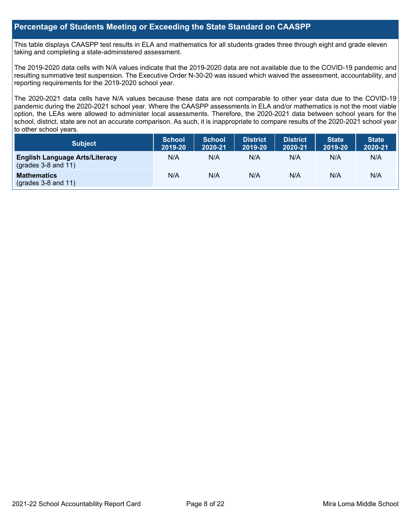#### **Percentage of Students Meeting or Exceeding the State Standard on CAASPP**

This table displays CAASPP test results in ELA and mathematics for all students grades three through eight and grade eleven taking and completing a state-administered assessment.

The 2019-2020 data cells with N/A values indicate that the 2019-2020 data are not available due to the COVID-19 pandemic and resulting summative test suspension. The Executive Order N-30-20 was issued which waived the assessment, accountability, and reporting requirements for the 2019-2020 school year.

The 2020-2021 data cells have N/A values because these data are not comparable to other year data due to the COVID-19 pandemic during the 2020-2021 school year. Where the CAASPP assessments in ELA and/or mathematics is not the most viable option, the LEAs were allowed to administer local assessments. Therefore, the 2020-2021 data between school years for the school, district, state are not an accurate comparison. As such, it is inappropriate to compare results of the 2020-2021 school year to other school years.

| Subject                                                        | <b>School</b><br>2019-20 | <b>School</b><br>2020-21 | <b>District</b><br>2019-20 | <b>District</b><br>2020-21 | <b>State</b><br>2019-20 | <b>State</b><br>2020-21 |
|----------------------------------------------------------------|--------------------------|--------------------------|----------------------------|----------------------------|-------------------------|-------------------------|
| <b>English Language Arts/Literacy</b><br>$(grades 3-8 and 11)$ | N/A                      | N/A                      | N/A                        | N/A                        | N/A                     | N/A                     |
| <b>Mathematics</b><br>$($ grades 3-8 and 11 $)$                | N/A                      | N/A                      | N/A                        | N/A                        | N/A                     | N/A                     |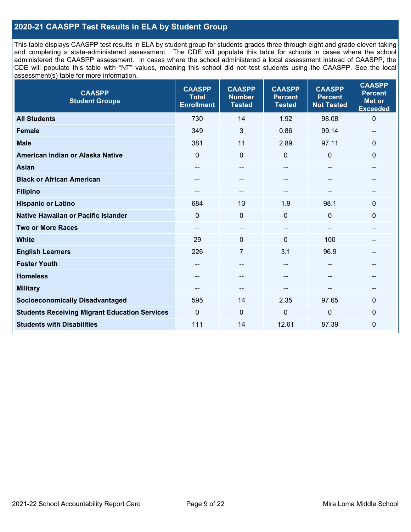#### **2020-21 CAASPP Test Results in ELA by Student Group**

This table displays CAASPP test results in ELA by student group for students grades three through eight and grade eleven taking and completing a state-administered assessment. The CDE will populate this table for schools in cases where the school administered the CAASPP assessment. In cases where the school administered a local assessment instead of CAASPP, the CDE will populate this table with "NT" values, meaning this school did not test students using the CAASPP. See the local assessment(s) table for more information.

| <b>CAASPP</b><br><b>Student Groups</b>               | <b>CAASPP</b><br><b>Total</b><br><b>Enrollment</b> | <b>CAASPP</b><br><b>Number</b><br><b>Tested</b> | <b>CAASPP</b><br><b>Percent</b><br><b>Tested</b> | <b>CAASPP</b><br><b>Percent</b><br><b>Not Tested</b> | <b>CAASPP</b><br><b>Percent</b><br><b>Met or</b><br><b>Exceeded</b> |
|------------------------------------------------------|----------------------------------------------------|-------------------------------------------------|--------------------------------------------------|------------------------------------------------------|---------------------------------------------------------------------|
| <b>All Students</b>                                  | 730                                                | 14                                              | 1.92                                             | 98.08                                                | $\mathbf 0$                                                         |
| <b>Female</b>                                        | 349                                                | 3                                               | 0.86                                             | 99.14                                                | --                                                                  |
| <b>Male</b>                                          | 381                                                | 11                                              | 2.89                                             | 97.11                                                | 0                                                                   |
| American Indian or Alaska Native                     | $\Omega$                                           | $\mathbf 0$                                     | $\mathbf 0$                                      | $\mathbf 0$                                          | 0                                                                   |
| <b>Asian</b>                                         | $\sim$                                             | --                                              |                                                  |                                                      | --                                                                  |
| <b>Black or African American</b>                     | --                                                 | $\overline{\phantom{m}}$                        | --                                               | $\overline{a}$                                       | --                                                                  |
| <b>Filipino</b>                                      |                                                    | $\sim$                                          |                                                  |                                                      | --                                                                  |
| <b>Hispanic or Latino</b>                            | 684                                                | 13                                              | 1.9                                              | 98.1                                                 | 0                                                                   |
| <b>Native Hawaiian or Pacific Islander</b>           | $\Omega$                                           | $\mathbf 0$                                     | $\mathbf 0$                                      | $\Omega$                                             | 0                                                                   |
| <b>Two or More Races</b>                             | $\hspace{0.05cm}$ – $\hspace{0.05cm}$              | $\sim$                                          |                                                  | --                                                   | --                                                                  |
| <b>White</b>                                         | 29                                                 | $\mathbf 0$                                     | $\Omega$                                         | 100                                                  | --                                                                  |
| <b>English Learners</b>                              | 226                                                | $\overline{7}$                                  | 3.1                                              | 96.9                                                 | --                                                                  |
| <b>Foster Youth</b>                                  |                                                    | --                                              | --                                               |                                                      | --                                                                  |
| <b>Homeless</b>                                      | --                                                 | $\overline{\phantom{m}}$                        | --                                               | --                                                   | --                                                                  |
| <b>Military</b>                                      |                                                    | --                                              |                                                  |                                                      | --                                                                  |
| <b>Socioeconomically Disadvantaged</b>               | 595                                                | 14                                              | 2.35                                             | 97.65                                                | $\mathbf 0$                                                         |
| <b>Students Receiving Migrant Education Services</b> | $\Omega$                                           | $\mathbf{0}$                                    | $\Omega$                                         | $\overline{0}$                                       | $\Omega$                                                            |
| <b>Students with Disabilities</b>                    | 111                                                | 14                                              | 12.61                                            | 87.39                                                | 0                                                                   |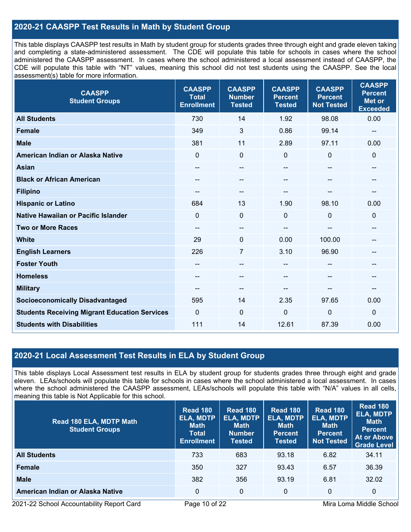#### **2020-21 CAASPP Test Results in Math by Student Group**

This table displays CAASPP test results in Math by student group for students grades three through eight and grade eleven taking and completing a state-administered assessment. The CDE will populate this table for schools in cases where the school administered the CAASPP assessment. In cases where the school administered a local assessment instead of CAASPP, the CDE will populate this table with "NT" values, meaning this school did not test students using the CAASPP. See the local assessment(s) table for more information.

| <b>CAASPP</b><br><b>Student Groups</b>               | <b>CAASPP</b><br><b>Total</b><br><b>Enrollment</b> | <b>CAASPP</b><br><b>Number</b><br><b>Tested</b> | <b>CAASPP</b><br><b>Percent</b><br><b>Tested</b> | <b>CAASPP</b><br><b>Percent</b><br><b>Not Tested</b> | <b>CAASPP</b><br><b>Percent</b><br><b>Met or</b><br><b>Exceeded</b> |
|------------------------------------------------------|----------------------------------------------------|-------------------------------------------------|--------------------------------------------------|------------------------------------------------------|---------------------------------------------------------------------|
| <b>All Students</b>                                  | 730                                                | 14                                              | 1.92                                             | 98.08                                                | 0.00                                                                |
| <b>Female</b>                                        | 349                                                | 3                                               | 0.86                                             | 99.14                                                | $\sim$                                                              |
| <b>Male</b>                                          | 381                                                | 11                                              | 2.89                                             | 97.11                                                | 0.00                                                                |
| American Indian or Alaska Native                     | $\mathbf 0$                                        | $\pmb{0}$                                       | $\mathbf 0$                                      | $\overline{0}$                                       | $\mathbf 0$                                                         |
| <b>Asian</b>                                         | --                                                 | --                                              |                                                  | --                                                   | --                                                                  |
| <b>Black or African American</b>                     | $\overline{\phantom{a}}$                           | --                                              | --                                               | --                                                   | $\overline{\phantom{m}}$                                            |
| <b>Filipino</b>                                      | --                                                 | --                                              | --                                               |                                                      | $\sim$                                                              |
| <b>Hispanic or Latino</b>                            | 684                                                | 13                                              | 1.90                                             | 98.10                                                | 0.00                                                                |
| Native Hawaiian or Pacific Islander                  | $\Omega$                                           | 0                                               | $\Omega$                                         | $\mathbf{0}$                                         | $\mathbf 0$                                                         |
| <b>Two or More Races</b>                             | $\overline{\phantom{a}}$                           | --                                              |                                                  | --                                                   | $\qquad \qquad -$                                                   |
| <b>White</b>                                         | 29                                                 | 0                                               | 0.00                                             | 100.00                                               | --                                                                  |
| <b>English Learners</b>                              | 226                                                | 7                                               | 3.10                                             | 96.90                                                | --                                                                  |
| <b>Foster Youth</b>                                  |                                                    | --                                              |                                                  |                                                      |                                                                     |
| <b>Homeless</b>                                      | $- -$                                              | $\qquad \qquad -$                               | --                                               | $-$                                                  | $-$                                                                 |
| <b>Military</b>                                      |                                                    | --                                              | --                                               |                                                      | --                                                                  |
| <b>Socioeconomically Disadvantaged</b>               | 595                                                | 14                                              | 2.35                                             | 97.65                                                | 0.00                                                                |
| <b>Students Receiving Migrant Education Services</b> | $\mathbf{0}$                                       | $\Omega$                                        | $\mathbf 0$                                      | $\mathbf{0}$                                         | $\mathbf 0$                                                         |
| <b>Students with Disabilities</b>                    | 111                                                | 14                                              | 12.61                                            | 87.39                                                | 0.00                                                                |

#### **2020-21 Local Assessment Test Results in ELA by Student Group**

This table displays Local Assessment test results in ELA by student group for students grades three through eight and grade eleven. LEAs/schools will populate this table for schools in cases where the school administered a local assessment. In cases where the school administered the CAASPP assessment, LEAs/schools will populate this table with "N/A" values in all cells, meaning this table is Not Applicable for this school.

| Read 180 ELA, MDTP Math<br><b>Student Groups</b> | <b>Read 180</b><br><b>ELA, MDTP</b><br><b>Math</b><br><b>Total</b><br><b>Enrollment</b> | <b>Read 180</b><br><b>ELA, MDTP</b><br><b>Math</b><br><b>Number</b><br><b>Tested</b> | <b>Read 180</b><br><b>ELA, MDTP</b><br><b>Math</b><br><b>Percent</b><br><b>Tested</b> | <b>Read 180</b><br><b>ELA, MDTP</b><br><b>Math</b><br><b>Percent</b><br><b>Not Tested</b> | <b>Read 180</b><br><b>ELA, MDTP</b><br><b>Math</b><br><b>Percent</b><br>At or Above<br><b>Grade Level</b> |
|--------------------------------------------------|-----------------------------------------------------------------------------------------|--------------------------------------------------------------------------------------|---------------------------------------------------------------------------------------|-------------------------------------------------------------------------------------------|-----------------------------------------------------------------------------------------------------------|
| <b>All Students</b>                              | 733                                                                                     | 683                                                                                  | 93.18                                                                                 | 6.82                                                                                      | 34.11                                                                                                     |
| <b>Female</b>                                    | 350                                                                                     | 327                                                                                  | 93.43                                                                                 | 6.57                                                                                      | 36.39                                                                                                     |
| <b>Male</b>                                      | 382                                                                                     | 356                                                                                  | 93.19                                                                                 | 6.81                                                                                      | 32.02                                                                                                     |
| American Indian or Alaska Native                 | 0                                                                                       | 0                                                                                    | $\Omega$                                                                              | $\Omega$                                                                                  | $\mathbf 0$                                                                                               |

2021-22 School Accountability Report Card **Page 10 of 22** Mira Loma Middle School Page 10 of 22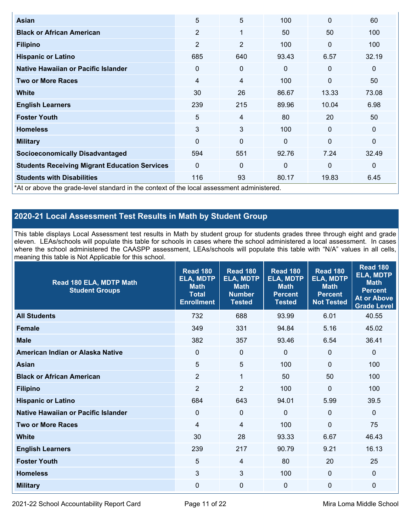| <b>Asian</b>                                                                               | 5              | 5              | 100          | $\mathbf{0}$   | 60           |
|--------------------------------------------------------------------------------------------|----------------|----------------|--------------|----------------|--------------|
| <b>Black or African American</b>                                                           | $\overline{2}$ | 1              | 50           | 50             | 100          |
| <b>Filipino</b>                                                                            | $\overline{2}$ | $\overline{2}$ | 100          | $\mathbf{0}$   | 100          |
| <b>Hispanic or Latino</b>                                                                  | 685            | 640            | 93.43        | 6.57           | 32.19        |
| Native Hawaiian or Pacific Islander                                                        | 0              | $\mathbf 0$    | $\mathbf{0}$ | $\mathbf 0$    | $\mathbf 0$  |
| <b>Two or More Races</b>                                                                   | 4              | 4              | 100          | $\overline{0}$ | 50           |
| White                                                                                      | 30             | 26             | 86.67        | 13.33          | 73.08        |
| <b>English Learners</b>                                                                    | 239            | 215            | 89.96        | 10.04          | 6.98         |
| <b>Foster Youth</b>                                                                        | 5              | 4              | 80           | 20             | 50           |
| <b>Homeless</b>                                                                            | 3              | 3              | 100          | $\mathbf{0}$   | $\mathbf{0}$ |
| <b>Military</b>                                                                            | $\Omega$       | $\mathbf 0$    | $\mathbf{0}$ | $\mathbf{0}$   | $\mathbf{0}$ |
| <b>Socioeconomically Disadvantaged</b>                                                     | 594            | 551            | 92.76        | 7.24           | 32.49        |
| <b>Students Receiving Migrant Education Services</b>                                       | $\Omega$       | $\mathbf 0$    | $\Omega$     | $\mathbf{0}$   | $\mathbf 0$  |
| <b>Students with Disabilities</b>                                                          | 116            | 93             | 80.17        | 19.83          | 6.45         |
| *At or above the grade-level standard in the context of the local assessment administered. |                |                |              |                |              |

### **2020-21 Local Assessment Test Results in Math by Student Group**

This table displays Local Assessment test results in Math by student group for students grades three through eight and grade eleven. LEAs/schools will populate this table for schools in cases where the school administered a local assessment. In cases where the school administered the CAASPP assessment, LEAs/schools will populate this table with "N/A" values in all cells, meaning this table is Not Applicable for this school.

| Read 180 ELA, MDTP Math<br><b>Student Groups</b> | <b>Read 180</b><br><b>ELA, MDTP</b><br><b>Math</b><br><b>Total</b><br><b>Enrollment</b> | <b>Read 180</b><br><b>ELA, MDTP</b><br><b>Math</b><br><b>Number</b><br><b>Tested</b> | <b>Read 180</b><br><b>ELA, MDTP</b><br><b>Math</b><br><b>Percent</b><br><b>Tested</b> | <b>Read 180</b><br><b>ELA, MDTP</b><br><b>Math</b><br><b>Percent</b><br><b>Not Tested</b> | <b>Read 180</b><br><b>ELA, MDTP</b><br><b>Math</b><br><b>Percent</b><br><b>At or Above</b><br><b>Grade Level</b> |
|--------------------------------------------------|-----------------------------------------------------------------------------------------|--------------------------------------------------------------------------------------|---------------------------------------------------------------------------------------|-------------------------------------------------------------------------------------------|------------------------------------------------------------------------------------------------------------------|
| <b>All Students</b>                              | 732                                                                                     | 688                                                                                  | 93.99                                                                                 | 6.01                                                                                      | 40.55                                                                                                            |
| <b>Female</b>                                    | 349                                                                                     | 331                                                                                  | 94.84                                                                                 | 5.16                                                                                      | 45.02                                                                                                            |
| <b>Male</b>                                      | 382                                                                                     | 357                                                                                  | 93.46                                                                                 | 6.54                                                                                      | 36.41                                                                                                            |
| American Indian or Alaska Native                 | 0                                                                                       | $\mathbf 0$                                                                          | $\mathbf 0$                                                                           | $\mathbf 0$                                                                               | $\mathbf 0$                                                                                                      |
| <b>Asian</b>                                     | 5                                                                                       | 5                                                                                    | 100                                                                                   | $\mathbf 0$                                                                               | 100                                                                                                              |
| <b>Black or African American</b>                 | $\overline{2}$                                                                          | $\mathbf{1}$                                                                         | 50                                                                                    | 50                                                                                        | 100                                                                                                              |
| <b>Filipino</b>                                  | $\overline{2}$                                                                          | $\overline{2}$                                                                       | 100                                                                                   | $\Omega$                                                                                  | 100                                                                                                              |
| <b>Hispanic or Latino</b>                        | 684                                                                                     | 643                                                                                  | 94.01                                                                                 | 5.99                                                                                      | 39.5                                                                                                             |
| Native Hawaiian or Pacific Islander              | $\Omega$                                                                                | $\overline{0}$                                                                       | $\mathbf{0}$                                                                          | $\mathbf{0}$                                                                              | $\mathbf 0$                                                                                                      |
| <b>Two or More Races</b>                         | $\overline{4}$                                                                          | $\overline{4}$                                                                       | 100                                                                                   | $\overline{0}$                                                                            | 75                                                                                                               |
| <b>White</b>                                     | 30                                                                                      | 28                                                                                   | 93.33                                                                                 | 6.67                                                                                      | 46.43                                                                                                            |
| <b>English Learners</b>                          | 239                                                                                     | 217                                                                                  | 90.79                                                                                 | 9.21                                                                                      | 16.13                                                                                                            |
| <b>Foster Youth</b>                              | 5                                                                                       | 4                                                                                    | 80                                                                                    | 20                                                                                        | 25                                                                                                               |
| <b>Homeless</b>                                  | 3                                                                                       | 3                                                                                    | 100                                                                                   | 0                                                                                         | 0                                                                                                                |
| <b>Military</b>                                  | 0                                                                                       | 0                                                                                    | 0                                                                                     | 0                                                                                         | 0                                                                                                                |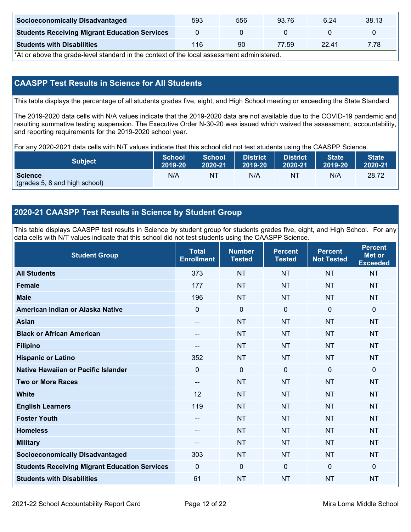| <b>Socioeconomically Disadvantaged</b>               | 593 | 556 | 93.76 | 6.24  | 38.13 |
|------------------------------------------------------|-----|-----|-------|-------|-------|
| <b>Students Receiving Migrant Education Services</b> |     |     |       |       |       |
| <b>Students with Disabilities</b>                    | 116 | 90  | 77.59 | 22.41 | 7.78  |

\*At or above the grade-level standard in the context of the local assessment administered.

### **CAASPP Test Results in Science for All Students**

This table displays the percentage of all students grades five, eight, and High School meeting or exceeding the State Standard.

The 2019-2020 data cells with N/A values indicate that the 2019-2020 data are not available due to the COVID-19 pandemic and resulting summative testing suspension. The Executive Order N-30-20 was issued which waived the assessment, accountability, and reporting requirements for the 2019-2020 school year.

For any 2020-2021 data cells with N/T values indicate that this school did not test students using the CAASPP Science.

| <b>Subject</b>                                  | <b>School</b> | <b>School</b> | <b>District</b> | <b>District</b> | <b>State</b> | State <sup>1</sup> |
|-------------------------------------------------|---------------|---------------|-----------------|-----------------|--------------|--------------------|
|                                                 | 2019-20       | 2020-21       | $12019 - 20$    | 2020-21         | 2019-20      | 2020-21            |
| <b>Science</b><br>(grades 5, 8 and high school) | N/A           | NT            | N/A             | NT              | N/A          | 28.72              |

#### **2020-21 CAASPP Test Results in Science by Student Group**

This table displays CAASPP test results in Science by student group for students grades five, eight, and High School. For any data cells with N/T values indicate that this school did not test students using the CAASPP Science.

| <b>Student Group</b>                                 | <b>Total</b><br><b>Enrollment</b> | <b>Number</b><br><b>Tested</b> | <b>Percent</b><br><b>Tested</b> | <b>Percent</b><br><b>Not Tested</b> | <b>Percent</b><br><b>Met or</b><br><b>Exceeded</b> |
|------------------------------------------------------|-----------------------------------|--------------------------------|---------------------------------|-------------------------------------|----------------------------------------------------|
| <b>All Students</b>                                  | 373                               | <b>NT</b>                      | <b>NT</b>                       | <b>NT</b>                           | <b>NT</b>                                          |
| <b>Female</b>                                        | 177                               | <b>NT</b>                      | <b>NT</b>                       | <b>NT</b>                           | <b>NT</b>                                          |
| <b>Male</b>                                          | 196                               | <b>NT</b>                      | <b>NT</b>                       | <b>NT</b>                           | <b>NT</b>                                          |
| American Indian or Alaska Native                     | $\mathbf 0$                       | $\pmb{0}$                      | $\mathbf 0$                     | $\mathbf 0$                         | $\mathbf 0$                                        |
| <b>Asian</b>                                         | --                                | <b>NT</b>                      | <b>NT</b>                       | <b>NT</b>                           | <b>NT</b>                                          |
| <b>Black or African American</b>                     | --                                | <b>NT</b>                      | <b>NT</b>                       | <b>NT</b>                           | <b>NT</b>                                          |
| <b>Filipino</b>                                      | --                                | <b>NT</b>                      | <b>NT</b>                       | <b>NT</b>                           | <b>NT</b>                                          |
| <b>Hispanic or Latino</b>                            | 352                               | <b>NT</b>                      | <b>NT</b>                       | <b>NT</b>                           | <b>NT</b>                                          |
| Native Hawaiian or Pacific Islander                  | $\mathbf 0$                       | $\mathbf 0$                    | $\Omega$                        | $\mathbf 0$                         | $\mathbf 0$                                        |
| <b>Two or More Races</b>                             | --                                | <b>NT</b>                      | <b>NT</b>                       | <b>NT</b>                           | <b>NT</b>                                          |
| <b>White</b>                                         | 12                                | <b>NT</b>                      | <b>NT</b>                       | <b>NT</b>                           | <b>NT</b>                                          |
| <b>English Learners</b>                              | 119                               | <b>NT</b>                      | <b>NT</b>                       | <b>NT</b>                           | <b>NT</b>                                          |
| <b>Foster Youth</b>                                  | --                                | <b>NT</b>                      | <b>NT</b>                       | <b>NT</b>                           | <b>NT</b>                                          |
| <b>Homeless</b>                                      | --                                | <b>NT</b>                      | <b>NT</b>                       | <b>NT</b>                           | <b>NT</b>                                          |
| <b>Military</b>                                      | --                                | <b>NT</b>                      | <b>NT</b>                       | <b>NT</b>                           | <b>NT</b>                                          |
| <b>Socioeconomically Disadvantaged</b>               | 303                               | <b>NT</b>                      | <b>NT</b>                       | <b>NT</b>                           | <b>NT</b>                                          |
| <b>Students Receiving Migrant Education Services</b> | $\mathbf 0$                       | $\mathbf 0$                    | $\mathbf 0$                     | $\overline{0}$                      | $\mathbf 0$                                        |
| <b>Students with Disabilities</b>                    | 61                                | <b>NT</b>                      | <b>NT</b>                       | <b>NT</b>                           | <b>NT</b>                                          |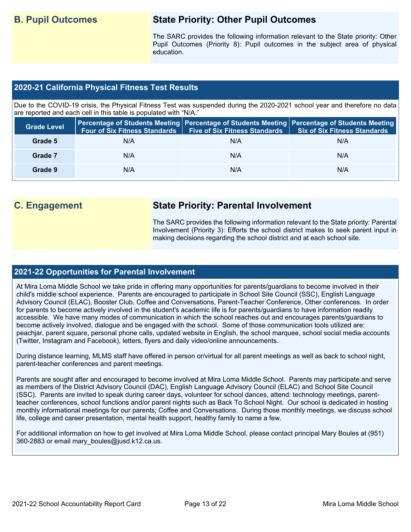## **B. Pupil Outcomes State Priority: Other Pupil Outcomes**

The SARC provides the following information relevant to the State priority: Other Pupil Outcomes (Priority 8): Pupil outcomes in the subject area of physical education.

#### **2020-21 California Physical Fitness Test Results**

Due to the COVID-19 crisis, the Physical Fitness Test was suspended during the 2020-2021 school year and therefore no data are reported and each cell in this table is populated with "N/A."

| <b>Grade Level</b> | <b>Four of Six Fitness Standards</b> | Five of Six Fitness Standards   Six of Six Fitness Standards | Percentage of Students Meeting   Percentage of Students Meeting   Percentage of Students Meeting |
|--------------------|--------------------------------------|--------------------------------------------------------------|--------------------------------------------------------------------------------------------------|
| Grade 5            | N/A                                  | N/A                                                          | N/A                                                                                              |
| Grade 7            | N/A                                  | N/A                                                          | N/A                                                                                              |
| Grade 9            | N/A                                  | N/A                                                          | N/A                                                                                              |

## **C. Engagement State Priority: Parental Involvement**

The SARC provides the following information relevant to the State priority: Parental Involvement (Priority 3): Efforts the school district makes to seek parent input in making decisions regarding the school district and at each school site.

#### **2021-22 Opportunities for Parental Involvement**

At Mira Loma Middle School we take pride in offering many opportunities for parents/guardians to become involved in their child's middle school experience. Parents are encouraged to participate in School Site Council (SSC), English Language Advisory Council (ELAC), Booster Club, Coffee and Conversations, Parent-Teacher Conference, Other conferences. In order for parents to become actively involved in the student's academic life is for parents/guardians to have information readily accessible. We have many modes of communication in which the school reaches out and encourages parents/guardians to become actively involved, dialogue and be engaged with the school. Some of those communication tools utilized are: peachjar, parent square, personal phone calls, updated website in English, the school marquee, school social media accounts (Twitter, Instagram and Facebook), letters, flyers and daily video/online announcements.

During distance learning, MLMS staff have offered in person or/virtual for all parent meetings as well as back to school night, parent-teacher conferences and parent meetings.

Parents are sought after and encouraged to become involved at Mira Loma Middle School. Parents may participate and serve as members of the District Advisory Council (DAC), English Language Advisory Council (ELAC) and School Site Council (SSC). Parents are invited to speak during career days, volunteer for school dances, attend: technology meetings, parentteacher conferences, school functions and/or parent nights such as Back To School Night. Our school is dedicated in hosting monthly informational meetings for our parents; Coffee and Conversations. During those monthly meetings, we discuss school life, college and career presentation, mental health support, healthy family to name a few.

For additional information on how to get involved at Mira Loma Middle School, please contact principal Mary Boules at (951) 360-2883 or email mary boules@jusd.k12.ca.us.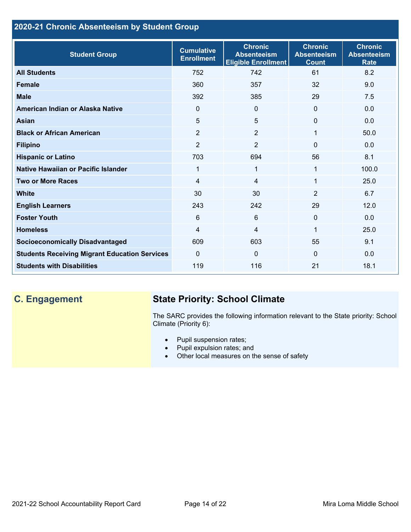### **2020-21 Chronic Absenteeism by Student Group**

| <b>Student Group</b>                                 | <b>Cumulative</b><br><b>Enrollment</b> | <b>Chronic</b><br><b>Absenteeism</b><br><b>Eligible Enrollment</b> | <b>Chronic</b><br><b>Absenteeism</b><br><b>Count</b> | <b>Chronic</b><br><b>Absenteeism</b><br><b>Rate</b> |
|------------------------------------------------------|----------------------------------------|--------------------------------------------------------------------|------------------------------------------------------|-----------------------------------------------------|
| <b>All Students</b>                                  | 752                                    | 742                                                                | 61                                                   | 8.2                                                 |
| <b>Female</b>                                        | 360                                    | 357                                                                | 32                                                   | 9.0                                                 |
| <b>Male</b>                                          | 392                                    | 385                                                                | 29                                                   | 7.5                                                 |
| American Indian or Alaska Native                     | 0                                      | $\mathbf 0$                                                        | $\mathbf{0}$                                         | 0.0                                                 |
| <b>Asian</b>                                         | 5                                      | 5                                                                  | $\mathbf{0}$                                         | 0.0                                                 |
| <b>Black or African American</b>                     | $\overline{2}$                         | $\overline{2}$                                                     | 1                                                    | 50.0                                                |
| <b>Filipino</b>                                      | $\overline{2}$                         | $\overline{2}$                                                     | $\Omega$                                             | 0.0                                                 |
| <b>Hispanic or Latino</b>                            | 703                                    | 694                                                                | 56                                                   | 8.1                                                 |
| Native Hawaiian or Pacific Islander                  | 1                                      | 1                                                                  | 1                                                    | 100.0                                               |
| <b>Two or More Races</b>                             | 4                                      | $\overline{4}$                                                     | 1                                                    | 25.0                                                |
| <b>White</b>                                         | 30                                     | 30                                                                 | $\overline{2}$                                       | 6.7                                                 |
| <b>English Learners</b>                              | 243                                    | 242                                                                | 29                                                   | 12.0                                                |
| <b>Foster Youth</b>                                  | 6                                      | $6\phantom{1}$                                                     | $\Omega$                                             | 0.0                                                 |
| <b>Homeless</b>                                      | 4                                      | 4                                                                  | 1                                                    | 25.0                                                |
| <b>Socioeconomically Disadvantaged</b>               | 609                                    | 603                                                                | 55                                                   | 9.1                                                 |
| <b>Students Receiving Migrant Education Services</b> | $\mathbf{0}$                           | $\mathbf 0$                                                        | $\Omega$                                             | 0.0                                                 |
| <b>Students with Disabilities</b>                    | 119                                    | 116                                                                | 21                                                   | 18.1                                                |

# **C. Engagement State Priority: School Climate**

The SARC provides the following information relevant to the State priority: School Climate (Priority 6):

- Pupil suspension rates;
- Pupil expulsion rates; and
- Other local measures on the sense of safety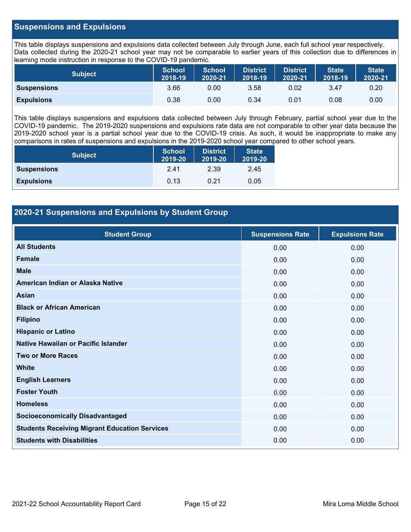#### **Suspensions and Expulsions**

This table displays suspensions and expulsions data collected between July through June, each full school year respectively. Data collected during the 2020-21 school year may not be comparable to earlier years of this collection due to differences in learning mode instruction in response to the COVID-19 pandemic.

| <b>Subject</b>     | <b>School</b><br>2018-19 | <b>School</b><br>2020-21 | <b>District</b><br>2018-19 | <b>District</b><br>2020-21 | State<br>2018-19 | <b>State</b><br>2020-21 |
|--------------------|--------------------------|--------------------------|----------------------------|----------------------------|------------------|-------------------------|
| <b>Suspensions</b> | 3.66                     | 0.00                     | 3.58                       | 0.02                       | 3.47             | 0.20                    |
| <b>Expulsions</b>  | 0.38                     | 0.00                     | 0.34                       | 0.01                       | 0.08             | 0.00                    |

This table displays suspensions and expulsions data collected between July through February, partial school year due to the COVID-19 pandemic. The 2019-2020 suspensions and expulsions rate data are not comparable to other year data because the 2019-2020 school year is a partial school year due to the COVID-19 crisis. As such, it would be inappropriate to make any comparisons in rates of suspensions and expulsions in the 2019-2020 school year compared to other school years.

| <b>Subject</b>     | <b>School</b><br>2019-20 | <b>District</b><br>2019-20 | <b>State</b><br>2019-20 |
|--------------------|--------------------------|----------------------------|-------------------------|
| <b>Suspensions</b> | 2.41                     | 2.39                       | 2.45                    |
| <b>Expulsions</b>  | 0.13                     | 0.21                       | 0.05                    |

#### **2020-21 Suspensions and Expulsions by Student Group**

| <b>Student Group</b>                                 | <b>Suspensions Rate</b> | <b>Expulsions Rate</b> |
|------------------------------------------------------|-------------------------|------------------------|
| <b>All Students</b>                                  | 0.00                    | 0.00                   |
| <b>Female</b>                                        | 0.00                    | 0.00                   |
| <b>Male</b>                                          | 0.00                    | 0.00                   |
| American Indian or Alaska Native                     | 0.00                    | 0.00                   |
| Asian                                                | 0.00                    | 0.00                   |
| <b>Black or African American</b>                     | 0.00                    | 0.00                   |
| <b>Filipino</b>                                      | 0.00                    | 0.00                   |
| <b>Hispanic or Latino</b>                            | 0.00                    | 0.00                   |
| Native Hawaiian or Pacific Islander                  | 0.00                    | 0.00                   |
| <b>Two or More Races</b>                             | 0.00                    | 0.00                   |
| <b>White</b>                                         | 0.00                    | 0.00                   |
| <b>English Learners</b>                              | 0.00                    | 0.00                   |
| <b>Foster Youth</b>                                  | 0.00                    | 0.00                   |
| <b>Homeless</b>                                      | 0.00                    | 0.00                   |
| <b>Socioeconomically Disadvantaged</b>               | 0.00                    | 0.00                   |
| <b>Students Receiving Migrant Education Services</b> | 0.00                    | 0.00                   |
| <b>Students with Disabilities</b>                    | 0.00                    | 0.00                   |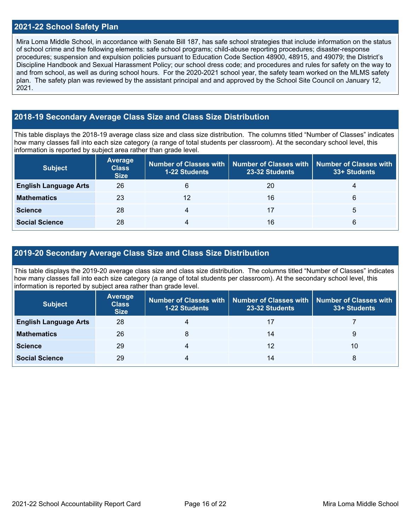#### **2021-22 School Safety Plan**

Mira Loma Middle School, in accordance with Senate Bill 187, has safe school strategies that include information on the status of school crime and the following elements: safe school programs; child-abuse reporting procedures; disaster-response procedures; suspension and expulsion policies pursuant to Education Code Section 48900, 48915, and 49079; the District's Discipline Handbook and Sexual Harassment Policy; our school dress code; and procedures and rules for safety on the way to and from school, as well as during school hours. For the 2020-2021 school year, the safety team worked on the MLMS safety plan. The safety plan was reviewed by the assistant principal and and approved by the School Site Council on January 12, 2021.

#### **2018-19 Secondary Average Class Size and Class Size Distribution**

This table displays the 2018-19 average class size and class size distribution. The columns titled "Number of Classes" indicates how many classes fall into each size category (a range of total students per classroom). At the secondary school level, this information is reported by subject area rather than grade level.

| <b>Subject</b>               | Average<br><b>Class</b><br><b>Size</b> | <b>1-22 Students</b> | Number of Classes with   Number of Classes with   Number of Classes with<br>23-32 Students | 33+ Students |
|------------------------------|----------------------------------------|----------------------|--------------------------------------------------------------------------------------------|--------------|
| <b>English Language Arts</b> | 26                                     | 6                    | 20                                                                                         | 4            |
| <b>Mathematics</b>           | 23                                     | 12                   | 16                                                                                         | 6            |
| <b>Science</b>               | 28                                     | 4                    | 17                                                                                         | 5            |
| <b>Social Science</b>        | 28                                     | 4                    | 16                                                                                         | 6            |

#### **2019-20 Secondary Average Class Size and Class Size Distribution**

This table displays the 2019-20 average class size and class size distribution. The columns titled "Number of Classes" indicates how many classes fall into each size category (a range of total students per classroom). At the secondary school level, this information is reported by subject area rather than grade level.

| <b>Subject</b>               | Average<br><b>Class</b><br><b>Size</b> | <b>1-22 Students</b> | Number of Classes with   Number of Classes with   Number of Classes with<br>23-32 Students | 33+ Students |
|------------------------------|----------------------------------------|----------------------|--------------------------------------------------------------------------------------------|--------------|
| <b>English Language Arts</b> | 28                                     |                      |                                                                                            |              |
| <b>Mathematics</b>           | 26                                     | 8                    | 14                                                                                         | 9            |
| <b>Science</b>               | 29                                     | 4                    | 12                                                                                         | 10           |
| <b>Social Science</b>        | 29                                     | 4                    | 14                                                                                         | 8            |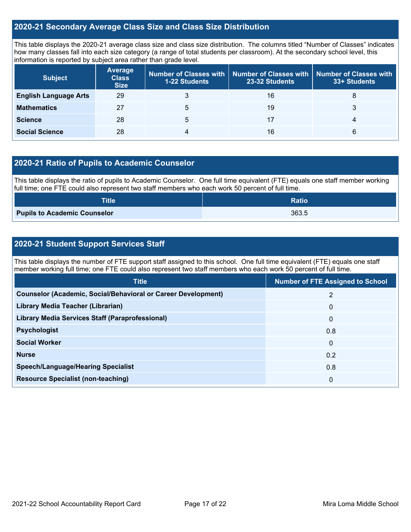#### **2020-21 Secondary Average Class Size and Class Size Distribution**

This table displays the 2020-21 average class size and class size distribution. The columns titled "Number of Classes" indicates how many classes fall into each size category (a range of total students per classroom). At the secondary school level, this information is reported by subject area rather than grade level.

| <b>Subject</b>               | Average<br><b>Class</b><br><b>Size</b> | <b>1-22 Students</b> | Number of Classes with   Number of Classes with  <br>23-32 Students | Number of Classes with<br>33+ Students |
|------------------------------|----------------------------------------|----------------------|---------------------------------------------------------------------|----------------------------------------|
| <b>English Language Arts</b> | 29                                     |                      | 16                                                                  | 8                                      |
| <b>Mathematics</b>           | 27                                     | 5                    | 19                                                                  | 3                                      |
| <b>Science</b>               | 28                                     | 5                    | 17                                                                  | 4                                      |
| <b>Social Science</b>        | 28                                     | 4                    | 16                                                                  | 6                                      |

#### **2020-21 Ratio of Pupils to Academic Counselor**

This table displays the ratio of pupils to Academic Counselor. One full time equivalent (FTE) equals one staff member working full time; one FTE could also represent two staff members who each work 50 percent of full time.

| <b>Title</b>                        | <b>Ratio</b> |
|-------------------------------------|--------------|
| <b>Pupils to Academic Counselor</b> | 363.5        |

#### **2020-21 Student Support Services Staff**

This table displays the number of FTE support staff assigned to this school. One full time equivalent (FTE) equals one staff member working full time; one FTE could also represent two staff members who each work 50 percent of full time.

| <b>Title</b>                                                         | <b>Number of FTE Assigned to School</b> |
|----------------------------------------------------------------------|-----------------------------------------|
| <b>Counselor (Academic, Social/Behavioral or Career Development)</b> | $\overline{2}$                          |
| Library Media Teacher (Librarian)                                    | $\Omega$                                |
| <b>Library Media Services Staff (Paraprofessional)</b>               | $\Omega$                                |
| <b>Psychologist</b>                                                  | 0.8                                     |
| <b>Social Worker</b>                                                 | $\Omega$                                |
| <b>Nurse</b>                                                         | 0.2                                     |
| <b>Speech/Language/Hearing Specialist</b>                            | 0.8                                     |
| <b>Resource Specialist (non-teaching)</b>                            | 0                                       |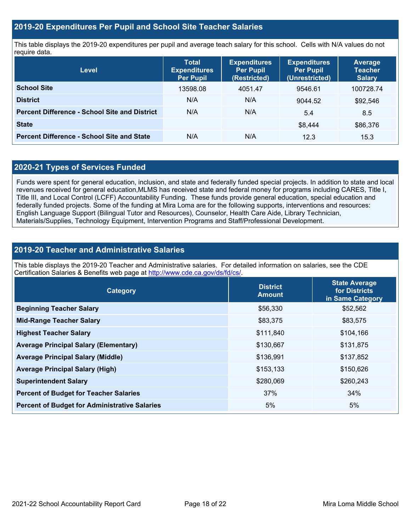#### **2019-20 Expenditures Per Pupil and School Site Teacher Salaries**

This table displays the 2019-20 expenditures per pupil and average teach salary for this school. Cells with N/A values do not require data.

| <b>Level</b>                                         | <b>Total</b><br><b>Expenditures</b><br><b>Per Pupil</b> | <b>Expenditures</b><br><b>Per Pupil</b><br>(Restricted) | <b>Expenditures</b><br><b>Per Pupil</b><br>(Unrestricted) | <b>Average</b><br><b>Teacher</b><br><b>Salary</b> |
|------------------------------------------------------|---------------------------------------------------------|---------------------------------------------------------|-----------------------------------------------------------|---------------------------------------------------|
| <b>School Site</b>                                   | 13598.08                                                | 4051.47                                                 | 9546.61                                                   | 100728.74                                         |
| <b>District</b>                                      | N/A                                                     | N/A                                                     | 9044.52                                                   | \$92,546                                          |
| <b>Percent Difference - School Site and District</b> | N/A                                                     | N/A                                                     | 5.4                                                       | 8.5                                               |
| <b>State</b>                                         |                                                         |                                                         | \$8,444                                                   | \$86,376                                          |
| <b>Percent Difference - School Site and State</b>    | N/A                                                     | N/A                                                     | 12.3                                                      | 15.3                                              |

#### **2020-21 Types of Services Funded**

Funds were spent for general education, inclusion, and state and federally funded special projects. In addition to state and local revenues received for general education,MLMS has received state and federal money for programs including CARES, Title I, Title III, and Local Control (LCFF) Accountability Funding. These funds provide general education, special education and federally funded projects. Some of the funding at Mira Loma are for the following supports, interventions and resources: English Language Support (Bilingual Tutor and Resources), Counselor, Health Care Aide, Library Technician, Materials/Supplies, Technology Equipment, Intervention Programs and Staff/Professional Development.

#### **2019-20 Teacher and Administrative Salaries**

This table displays the 2019-20 Teacher and Administrative salaries. For detailed information on salaries, see the CDE Certification Salaries & Benefits web page at [http://www.cde.ca.gov/ds/fd/cs/.](http://www.cde.ca.gov/ds/fd/cs/)

| Category                                             | <b>District</b><br><b>Amount</b> | <b>State Average</b><br>for Districts<br>in Same Category |
|------------------------------------------------------|----------------------------------|-----------------------------------------------------------|
| <b>Beginning Teacher Salary</b>                      | \$56,330                         | \$52,562                                                  |
| <b>Mid-Range Teacher Salary</b>                      | \$83,375                         | \$83,575                                                  |
| <b>Highest Teacher Salary</b>                        | \$111,840                        | \$104,166                                                 |
| <b>Average Principal Salary (Elementary)</b>         | \$130,667                        | \$131,875                                                 |
| <b>Average Principal Salary (Middle)</b>             | \$136,991                        | \$137,852                                                 |
| <b>Average Principal Salary (High)</b>               | \$153,133                        | \$150,626                                                 |
| <b>Superintendent Salary</b>                         | \$280,069                        | \$260,243                                                 |
| <b>Percent of Budget for Teacher Salaries</b>        | 37%                              | 34%                                                       |
| <b>Percent of Budget for Administrative Salaries</b> | 5%                               | 5%                                                        |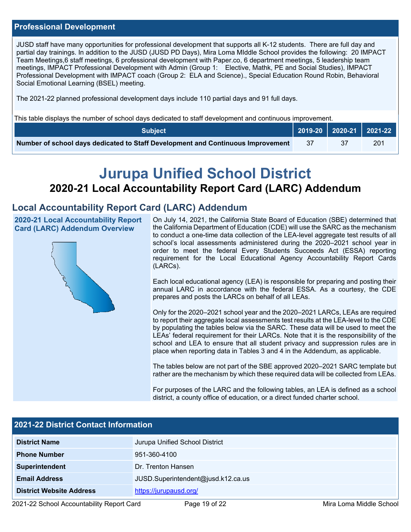#### **Professional Development**

JUSD staff have many opportunities for professional development that supports all K-12 students. There are full day and partial day trainings. In addition to the JUSD (JUSD PD Days), Mira Loma MIddle School provides the following: 20 IMPACT Team Meetings,6 staff meetings, 6 professional development with Paper.co, 6 department meetings, 5 leadership team meetings, IMPACT Professional Development with Admin (Group 1: Elective, Mathk, PE and Social Studies), IMPACT Professional Development with IMPACT coach (Group 2: ELA and Science)., Special Education Round Robin, Behavioral Social Emotional Learning (BSEL) meeting.

The 2021-22 planned professional development days include 110 partial days and 91 full days.

This table displays the number of school days dedicated to staff development and continuous improvement.

| <b>Subject</b>                                                                  |     | 2019-20   2020-21   2021-22 |     |
|---------------------------------------------------------------------------------|-----|-----------------------------|-----|
| Number of school days dedicated to Staff Development and Continuous Improvement | -37 |                             | 201 |

# **Jurupa Unified School District 2020-21 Local Accountability Report Card (LARC) Addendum**

### **Local Accountability Report Card (LARC) Addendum**

**2020-21 Local Accountability Report Card (LARC) Addendum Overview**



On July 14, 2021, the California State Board of Education (SBE) determined that the California Department of Education (CDE) will use the SARC as the mechanism to conduct a one-time data collection of the LEA-level aggregate test results of all school's local assessments administered during the 2020–2021 school year in order to meet the federal Every Students Succeeds Act (ESSA) reporting requirement for the Local Educational Agency Accountability Report Cards (LARCs).

Each local educational agency (LEA) is responsible for preparing and posting their annual LARC in accordance with the federal ESSA. As a courtesy, the CDE prepares and posts the LARCs on behalf of all LEAs.

Only for the 2020–2021 school year and the 2020–2021 LARCs, LEAs are required to report their aggregate local assessments test results at the LEA-level to the CDE by populating the tables below via the SARC. These data will be used to meet the LEAs' federal requirement for their LARCs. Note that it is the responsibility of the school and LEA to ensure that all student privacy and suppression rules are in place when reporting data in Tables 3 and 4 in the Addendum, as applicable.

The tables below are not part of the SBE approved 2020–2021 SARC template but rather are the mechanism by which these required data will be collected from LEAs.

For purposes of the LARC and the following tables, an LEA is defined as a school district, a county office of education, or a direct funded charter school.

| 2021-22 District Contact Information |                                    |  |  |  |
|--------------------------------------|------------------------------------|--|--|--|
| <b>District Name</b>                 | Jurupa Unified School District     |  |  |  |
| <b>Phone Number</b>                  | 951-360-4100                       |  |  |  |
| Superintendent                       | Dr. Trenton Hansen                 |  |  |  |
| <b>Email Address</b>                 | JUSD.Superintendent@jusd.k12.ca.us |  |  |  |
| <b>District Website Address</b>      | https://jurupausd.org/             |  |  |  |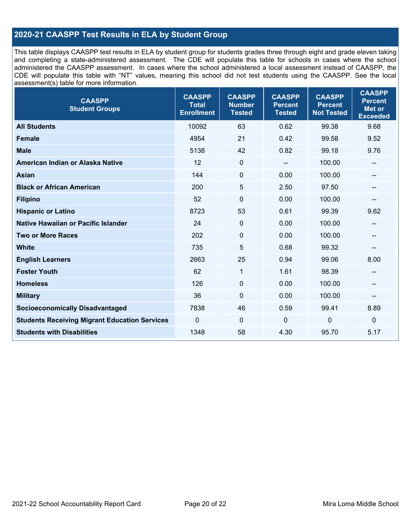### **2020-21 CAASPP Test Results in ELA by Student Group**

This table displays CAASPP test results in ELA by student group for students grades three through eight and grade eleven taking and completing a state-administered assessment. The CDE will populate this table for schools in cases where the school administered the CAASPP assessment. In cases where the school administered a local assessment instead of CAASPP, the CDE will populate this table with "NT" values, meaning this school did not test students using the CAASPP. See the local assessment(s) table for more information.

| <b>CAASPP</b><br><b>Student Groups</b>               | <b>CAASPP</b><br><b>Total</b><br><b>Enrollment</b> | <b>CAASPP</b><br><b>Number</b><br><b>Tested</b> | <b>CAASPP</b><br><b>Percent</b><br><b>Tested</b> | <b>CAASPP</b><br><b>Percent</b><br><b>Not Tested</b> | <b>CAASPP</b><br><b>Percent</b><br><b>Met or</b><br><b>Exceeded</b> |
|------------------------------------------------------|----------------------------------------------------|-------------------------------------------------|--------------------------------------------------|------------------------------------------------------|---------------------------------------------------------------------|
| <b>All Students</b>                                  | 10092                                              | 63                                              | 0.62                                             | 99.38                                                | 9.68                                                                |
| <b>Female</b>                                        | 4954                                               | 21                                              | 0.42                                             | 99.58                                                | 9.52                                                                |
| <b>Male</b>                                          | 5138                                               | 42                                              | 0.82                                             | 99.18                                                | 9.76                                                                |
| American Indian or Alaska Native                     | 12                                                 | $\mathbf 0$                                     | --                                               | 100.00                                               | --                                                                  |
| <b>Asian</b>                                         | 144                                                | $\mathbf 0$                                     | 0.00                                             | 100.00                                               | --                                                                  |
| <b>Black or African American</b>                     | 200                                                | 5                                               | 2.50                                             | 97.50                                                | --                                                                  |
| <b>Filipino</b>                                      | 52                                                 | $\mathbf 0$                                     | 0.00                                             | 100.00                                               |                                                                     |
| <b>Hispanic or Latino</b>                            | 8723                                               | 53                                              | 0.61                                             | 99.39                                                | 9.62                                                                |
| Native Hawaiian or Pacific Islander                  | 24                                                 | $\mathbf 0$                                     | 0.00                                             | 100.00                                               | --                                                                  |
| <b>Two or More Races</b>                             | 202                                                | $\mathbf 0$                                     | 0.00                                             | 100.00                                               | --                                                                  |
| <b>White</b>                                         | 735                                                | 5                                               | 0.68                                             | 99.32                                                | --                                                                  |
| <b>English Learners</b>                              | 2663                                               | 25                                              | 0.94                                             | 99.06                                                | 8.00                                                                |
| <b>Foster Youth</b>                                  | 62                                                 | 1                                               | 1.61                                             | 98.39                                                | $\overline{\phantom{a}}$                                            |
| <b>Homeless</b>                                      | 126                                                | $\mathbf 0$                                     | 0.00                                             | 100.00                                               | $\qquad \qquad -$                                                   |
| <b>Military</b>                                      | 36                                                 | $\mathbf 0$                                     | 0.00                                             | 100.00                                               | --                                                                  |
| <b>Socioeconomically Disadvantaged</b>               | 7838                                               | 46                                              | 0.59                                             | 99.41                                                | 8.89                                                                |
| <b>Students Receiving Migrant Education Services</b> | $\mathbf{0}$                                       | $\mathbf 0$                                     | $\mathbf{0}$                                     | 0                                                    | $\mathbf 0$                                                         |
| <b>Students with Disabilities</b>                    | 1348                                               | 58                                              | 4.30                                             | 95.70                                                | 5.17                                                                |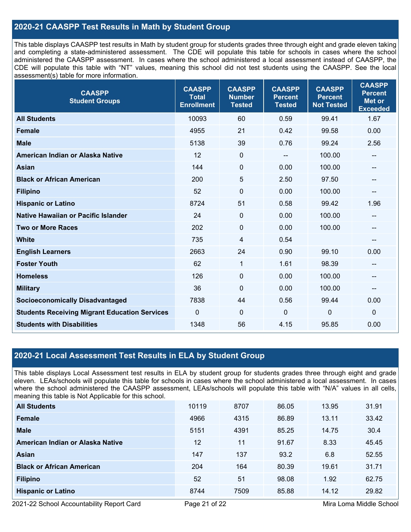#### **2020-21 CAASPP Test Results in Math by Student Group**

This table displays CAASPP test results in Math by student group for students grades three through eight and grade eleven taking and completing a state-administered assessment. The CDE will populate this table for schools in cases where the school administered the CAASPP assessment. In cases where the school administered a local assessment instead of CAASPP, the CDE will populate this table with "NT" values, meaning this school did not test students using the CAASPP. See the local assessment(s) table for more information.

| <b>CAASPP</b><br><b>Student Groups</b>               | <b>CAASPP</b><br><b>Total</b><br><b>Enrollment</b> | <b>CAASPP</b><br><b>Number</b><br><b>Tested</b> | <b>CAASPP</b><br><b>Percent</b><br><b>Tested</b> | <b>CAASPP</b><br><b>Percent</b><br><b>Not Tested</b> | <b>CAASPP</b><br><b>Percent</b><br><b>Met or</b><br><b>Exceeded</b> |
|------------------------------------------------------|----------------------------------------------------|-------------------------------------------------|--------------------------------------------------|------------------------------------------------------|---------------------------------------------------------------------|
| <b>All Students</b>                                  | 10093                                              | 60                                              | 0.59                                             | 99.41                                                | 1.67                                                                |
| <b>Female</b>                                        | 4955                                               | 21                                              | 0.42                                             | 99.58                                                | 0.00                                                                |
| <b>Male</b>                                          | 5138                                               | 39                                              | 0.76                                             | 99.24                                                | 2.56                                                                |
| American Indian or Alaska Native                     | 12                                                 | $\pmb{0}$                                       |                                                  | 100.00                                               | --                                                                  |
| Asian                                                | 144                                                | 0                                               | 0.00                                             | 100.00                                               | --                                                                  |
| <b>Black or African American</b>                     | 200                                                | 5                                               | 2.50                                             | 97.50                                                | --                                                                  |
| <b>Filipino</b>                                      | 52                                                 | $\mathbf 0$                                     | 0.00                                             | 100.00                                               | --                                                                  |
| <b>Hispanic or Latino</b>                            | 8724                                               | 51                                              | 0.58                                             | 99.42                                                | 1.96                                                                |
| Native Hawaiian or Pacific Islander                  | 24                                                 | $\mathbf 0$                                     | 0.00                                             | 100.00                                               | --                                                                  |
| <b>Two or More Races</b>                             | 202                                                | $\pmb{0}$                                       | 0.00                                             | 100.00                                               | --                                                                  |
| <b>White</b>                                         | 735                                                | 4                                               | 0.54                                             |                                                      | $\qquad \qquad \qquad -$                                            |
| <b>English Learners</b>                              | 2663                                               | 24                                              | 0.90                                             | 99.10                                                | 0.00                                                                |
| <b>Foster Youth</b>                                  | 62                                                 | $\mathbf{1}$                                    | 1.61                                             | 98.39                                                | --                                                                  |
| <b>Homeless</b>                                      | 126                                                | $\mathbf 0$                                     | 0.00                                             | 100.00                                               | $\qquad \qquad \qquad -$                                            |
| <b>Military</b>                                      | 36                                                 | 0                                               | 0.00                                             | 100.00                                               | --                                                                  |
| <b>Socioeconomically Disadvantaged</b>               | 7838                                               | 44                                              | 0.56                                             | 99.44                                                | 0.00                                                                |
| <b>Students Receiving Migrant Education Services</b> | 0                                                  | 0                                               | $\mathbf 0$                                      | 0                                                    | $\mathbf 0$                                                         |
| <b>Students with Disabilities</b>                    | 1348                                               | 56                                              | 4.15                                             | 95.85                                                | 0.00                                                                |

#### **2020-21 Local Assessment Test Results in ELA by Student Group**

This table displays Local Assessment test results in ELA by student group for students grades three through eight and grade eleven. LEAs/schools will populate this table for schools in cases where the school administered a local assessment. In cases where the school administered the CAASPP assessment, LEAs/schools will populate this table with "N/A" values in all cells, meaning this table is Not Applicable for this school.

| <b>All Students</b>              | 10119 | 8707 | 86.05 | 13.95 | 31.91 |
|----------------------------------|-------|------|-------|-------|-------|
| Female                           | 4966  | 4315 | 86.89 | 13.11 | 33.42 |
| <b>Male</b>                      | 5151  | 4391 | 85.25 | 14.75 | 30.4  |
| American Indian or Alaska Native | 12    | 11   | 91.67 | 8.33  | 45.45 |
| Asian                            | 147   | 137  | 93.2  | 6.8   | 52.55 |
| <b>Black or African American</b> | 204   | 164  | 80.39 | 19.61 | 31.71 |
| <b>Filipino</b>                  | 52    | 51   | 98.08 | 1.92  | 62.75 |
| <b>Hispanic or Latino</b>        | 8744  | 7509 | 85.88 | 14.12 | 29.82 |

2021-22 School Accountability Report Card **Page 21 of 22** Mira Loma Middle School Page 21 of 22 Mira Loma Middle School